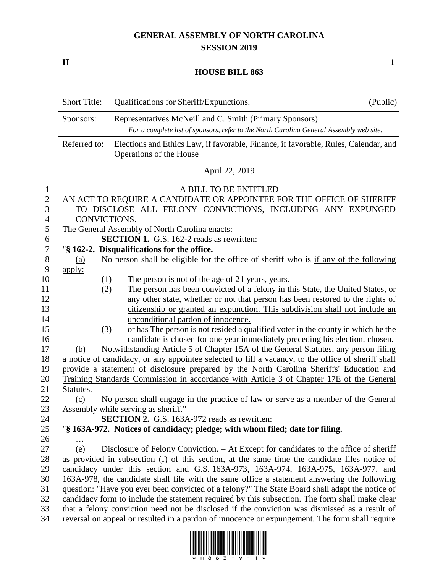## **GENERAL ASSEMBLY OF NORTH CAROLINA SESSION 2019**

**H 1**

## **HOUSE BILL 863**

|                                                       | <b>Short Title:</b> | Qualifications for Sheriff/Expunctions.                                                                                                                     | (Public) |
|-------------------------------------------------------|---------------------|-------------------------------------------------------------------------------------------------------------------------------------------------------------|----------|
|                                                       | Sponsors:           | Representatives McNeill and C. Smith (Primary Sponsors).                                                                                                    |          |
|                                                       |                     | For a complete list of sponsors, refer to the North Carolina General Assembly web site.                                                                     |          |
|                                                       | Referred to:        | Elections and Ethics Law, if favorable, Finance, if favorable, Rules, Calendar, and<br>Operations of the House                                              |          |
|                                                       |                     | April 22, 2019                                                                                                                                              |          |
| $\mathbf{1}$<br>$\overline{2}$<br>3<br>$\overline{4}$ | CONVICTIONS.        | A BILL TO BE ENTITLED<br>AN ACT TO REQUIRE A CANDIDATE OR APPOINTEE FOR THE OFFICE OF SHERIFF<br>TO DISCLOSE ALL FELONY CONVICTIONS, INCLUDING ANY EXPUNGED |          |
| 5                                                     |                     | The General Assembly of North Carolina enacts:                                                                                                              |          |
| $\boldsymbol{6}$                                      |                     | <b>SECTION 1.</b> G.S. 162-2 reads as rewritten:                                                                                                            |          |
| $\boldsymbol{7}$                                      |                     | "§ 162-2. Disqualifications for the office.                                                                                                                 |          |
| 8<br>9                                                | (a)                 | No person shall be eligible for the office of sheriff who is if any of the following                                                                        |          |
| 10                                                    | apply:<br>$\Omega$  | The person is not of the age of 21 years, years.                                                                                                            |          |
| 11                                                    | (2)                 | The person has been convicted of a felony in this State, the United States, or                                                                              |          |
| 12                                                    |                     | any other state, whether or not that person has been restored to the rights of                                                                              |          |
| 13                                                    |                     | citizenship or granted an expunction. This subdivision shall not include an                                                                                 |          |
| 14                                                    |                     | unconditional pardon of innocence.                                                                                                                          |          |
| 15                                                    | (3)                 | or has The person is not resided a qualified voter in the county in which he the                                                                            |          |
| 16                                                    |                     | candidate is chosen for one year immediately preceding his election. chosen.                                                                                |          |
| 17                                                    | (b)                 | Notwithstanding Article 5 of Chapter 15A of the General Statutes, any person filing                                                                         |          |
| 18                                                    |                     | a notice of candidacy, or any appointee selected to fill a vacancy, to the office of sheriff shall                                                          |          |
| 19                                                    |                     | provide a statement of disclosure prepared by the North Carolina Sheriffs' Education and                                                                    |          |
| 20                                                    |                     | Training Standards Commission in accordance with Article 3 of Chapter 17E of the General                                                                    |          |
| 21                                                    | Statutes.           |                                                                                                                                                             |          |
| 22                                                    | (c)                 | No person shall engage in the practice of law or serve as a member of the General                                                                           |          |
| 23                                                    |                     | Assembly while serving as sheriff."                                                                                                                         |          |
| $24\,$                                                |                     | <b>SECTION 2.</b> G.S. 163A-972 reads as rewritten:                                                                                                         |          |
| 25                                                    |                     | "§ 163A-972. Notices of candidacy; pledge; with whom filed; date for filing.                                                                                |          |
| 26                                                    |                     |                                                                                                                                                             |          |
| 27                                                    | (e)                 | Disclosure of Felony Conviction. $-$ At Except for candidates to the office of sheriff                                                                      |          |
| 28                                                    |                     | as provided in subsection (f) of this section, at the same time the candidate files notice of                                                               |          |
| 29                                                    |                     | candidacy under this section and G.S. 163A-973, 163A-974, 163A-975, 163A-977, and                                                                           |          |
| 30                                                    |                     | 163A-978, the candidate shall file with the same office a statement answering the following                                                                 |          |
| 31                                                    |                     | question: "Have you ever been convicted of a felony?" The State Board shall adapt the notice of                                                             |          |
| 32                                                    |                     | candidacy form to include the statement required by this subsection. The form shall make clear                                                              |          |
| 33                                                    |                     | that a felony conviction need not be disclosed if the conviction was dismissed as a result of                                                               |          |
| 34                                                    |                     | reversal on appeal or resulted in a pardon of innocence or expungement. The form shall require                                                              |          |

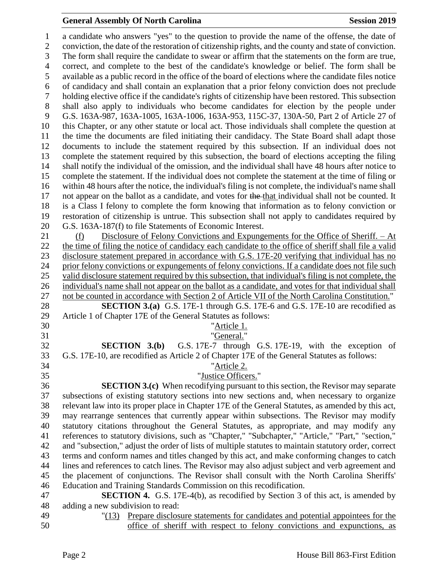## **General Assembly Of North Carolina Session 2019 Session 2019**

 a candidate who answers "yes" to the question to provide the name of the offense, the date of conviction, the date of the restoration of citizenship rights, and the county and state of conviction. The form shall require the candidate to swear or affirm that the statements on the form are true, correct, and complete to the best of the candidate's knowledge or belief. The form shall be available as a public record in the office of the board of elections where the candidate files notice of candidacy and shall contain an explanation that a prior felony conviction does not preclude holding elective office if the candidate's rights of citizenship have been restored. This subsection shall also apply to individuals who become candidates for election by the people under G.S. 163A-987, 163A-1005, 163A-1006, 163A-953, 115C-37, 130A-50, Part 2 of Article 27 of this Chapter, or any other statute or local act. Those individuals shall complete the question at the time the documents are filed initiating their candidacy. The State Board shall adapt those documents to include the statement required by this subsection. If an individual does not complete the statement required by this subsection, the board of elections accepting the filing shall notify the individual of the omission, and the individual shall have 48 hours after notice to complete the statement. If the individual does not complete the statement at the time of filing or within 48 hours after the notice, the individual's filing is not complete, the individual's name shall not appear on the ballot as a candidate, and votes for the that individual shall not be counted. It is a Class I felony to complete the form knowing that information as to felony conviction or restoration of citizenship is untrue. This subsection shall not apply to candidates required by G.S. 163A-187(f) to file Statements of Economic Interest. (f) Disclosure of Felony Convictions and Expungements for the Office of Sheriff. – At the time of filing the notice of candidacy each candidate to the office of sheriff shall file a valid disclosure statement prepared in accordance with G.S. 17E-20 verifying that individual has no prior felony convictions or expungements of felony convictions. If a candidate does not file such valid disclosure statement required by this subsection, that individual's filing is not complete, the individual's name shall not appear on the ballot as a candidate, and votes for that individual shall not be counted in accordance with Section 2 of Article VII of the North Carolina Constitution." **SECTION 3.(a)** G.S. 17E-1 through G.S. 17E-6 and G.S. 17E-10 are recodified as Article 1 of Chapter 17E of the General Statutes as follows: "Article 1. "General." **SECTION 3.(b)** G.S. 17E-7 through G.S. 17E-19, with the exception of G.S. 17E-10, are recodified as Article 2 of Chapter 17E of the General Statutes as follows: "Article 2. "Justice Officers." **SECTION 3.(c)** When recodifying pursuant to this section, the Revisor may separate subsections of existing statutory sections into new sections and, when necessary to organize relevant law into its proper place in Chapter 17E of the General Statutes, as amended by this act, may rearrange sentences that currently appear within subsections. The Revisor may modify statutory citations throughout the General Statutes, as appropriate, and may modify any references to statutory divisions, such as "Chapter," "Subchapter," "Article," "Part," "section," and "subsection," adjust the order of lists of multiple statutes to maintain statutory order, correct terms and conform names and titles changed by this act, and make conforming changes to catch lines and references to catch lines. The Revisor may also adjust subject and verb agreement and the placement of conjunctions. The Revisor shall consult with the North Carolina Sheriffs' Education and Training Standards Commission on this recodification. **SECTION 4.** G.S. 17E-4(b), as recodified by Section 3 of this act, is amended by adding a new subdivision to read: "(13) Prepare disclosure statements for candidates and potential appointees for the

office of sheriff with respect to felony convictions and expunctions, as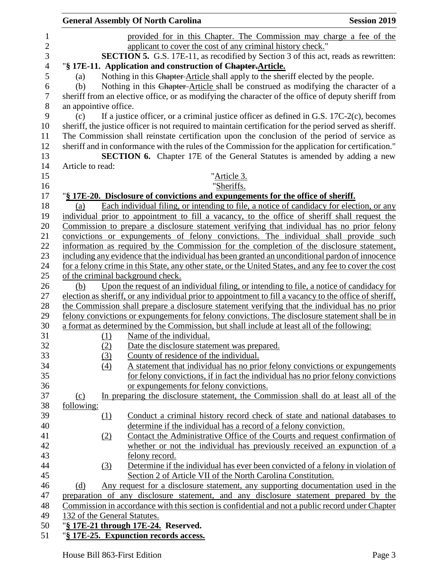|                          |                       |          | <b>General Assembly Of North Carolina</b>                                                                | <b>Session 2019</b> |
|--------------------------|-----------------------|----------|----------------------------------------------------------------------------------------------------------|---------------------|
| $\mathbf{1}$             |                       |          | provided for in this Chapter. The Commission may charge a fee of the                                     |                     |
| $\sqrt{2}$               |                       |          | applicant to cover the cost of any criminal history check."                                              |                     |
| 3                        |                       |          | <b>SECTION 5.</b> G.S. 17E-11, as recodified by Section 3 of this act, reads as rewritten:               |                     |
| $\overline{\mathcal{L}}$ |                       |          | "§ 17E-11. Application and construction of Chapter-Article.                                              |                     |
| 5                        | (a)                   |          | Nothing in this Chapter-Article shall apply to the sheriff elected by the people.                        |                     |
| 6                        | (b)                   |          | Nothing in this Chapter-Article shall be construed as modifying the character of a                       |                     |
| $\overline{7}$           |                       |          | sheriff from an elective office, or as modifying the character of the office of deputy sheriff from      |                     |
| $8\,$                    | an appointive office. |          |                                                                                                          |                     |
| 9                        | (c)                   |          | If a justice officer, or a criminal justice officer as defined in G.S. $17C-2(c)$ , becomes              |                     |
| 10                       |                       |          | sheriff, the justice officer is not required to maintain certification for the period served as sheriff. |                     |
| 11                       |                       |          | The Commission shall reinstate certification upon the conclusion of the period of service as             |                     |
| 12                       |                       |          | sheriff and in conformance with the rules of the Commission for the application for certification."      |                     |
| 13                       |                       |          | <b>SECTION 6.</b> Chapter 17E of the General Statutes is amended by adding a new                         |                     |
| 14                       | Article to read:      |          |                                                                                                          |                     |
| 15                       |                       |          | " <u>Article 3.</u>                                                                                      |                     |
| 16                       |                       |          | "Sheriffs.                                                                                               |                     |
| 17                       |                       |          | "§ 17E-20. Disclosure of convictions and expungements for the office of sheriff.                         |                     |
| 18                       | (a)                   |          | Each individual filing, or intending to file, a notice of candidacy for election, or any                 |                     |
| 19                       |                       |          | individual prior to appointment to fill a vacancy, to the office of sheriff shall request the            |                     |
| 20                       |                       |          | Commission to prepare a disclosure statement verifying that individual has no prior felony               |                     |
| 21                       |                       |          | convictions or expungements of felony convictions. The individual shall provide such                     |                     |
| 22                       |                       |          | information as required by the Commission for the completion of the disclosure statement,                |                     |
| 23                       |                       |          | including any evidence that the individual has been granted an unconditional pardon of innocence         |                     |
| 24                       |                       |          | for a felony crime in this State, any other state, or the United States, and any fee to cover the cost   |                     |
| 25                       |                       |          | of the criminal background check.                                                                        |                     |
| 26                       | (b)                   |          | Upon the request of an individual filing, or intending to file, a notice of candidacy for                |                     |
| 27                       |                       |          | election as sheriff, or any individual prior to appointment to fill a vacancy to the office of sheriff,  |                     |
| 28                       |                       |          | the Commission shall prepare a disclosure statement verifying that the individual has no prior           |                     |
| 29                       |                       |          | felony convictions or expungements for felony convictions. The disclosure statement shall be in          |                     |
| 30                       |                       |          | a format as determined by the Commission, but shall include at least all of the following:               |                     |
| 31                       |                       | (1)      | Name of the individual.                                                                                  |                     |
| 32                       |                       | (2)      | Date the disclosure statement was prepared.                                                              |                     |
| 33                       |                       | (3)      | County of residence of the individual.                                                                   |                     |
| 34                       |                       | (4)      | A statement that individual has no prior felony convictions or expungements                              |                     |
| 35                       |                       |          | for felony convictions, if in fact the individual has no prior felony convictions                        |                     |
| 36                       |                       |          | or expungements for felony convictions.                                                                  |                     |
| 37                       | (c)                   |          | In preparing the disclosure statement, the Commission shall do at least all of the                       |                     |
| 38                       | <u>following:</u>     |          |                                                                                                          |                     |
| 39                       |                       | $\Omega$ | Conduct a criminal history record check of state and national databases to                               |                     |
| 40                       |                       |          | determine if the individual has a record of a felony conviction.                                         |                     |
| 41                       |                       | (2)      | Contact the Administrative Office of the Courts and request confirmation of                              |                     |
| 42                       |                       |          | whether or not the individual has previously received an expunction of a                                 |                     |
| 43                       |                       |          | felony record.                                                                                           |                     |
| 44                       |                       | (3)      | Determine if the individual has ever been convicted of a felony in violation of                          |                     |
| 45                       |                       |          | Section 2 of Article VII of the North Carolina Constitution.                                             |                     |
| 46                       | (d)                   |          | Any request for a disclosure statement, any supporting documentation used in the                         |                     |
| 47                       |                       |          | preparation of any disclosure statement, and any disclosure statement prepared by the                    |                     |
| 48                       |                       |          | Commission in accordance with this section is confidential and not a public record under Chapter         |                     |
| 49                       |                       |          | 132 of the General Statutes.                                                                             |                     |
| 50                       |                       |          | ' <u>§ 17E-21 through 17E-24.</u> Reserved.                                                              |                     |
|                          |                       |          |                                                                                                          |                     |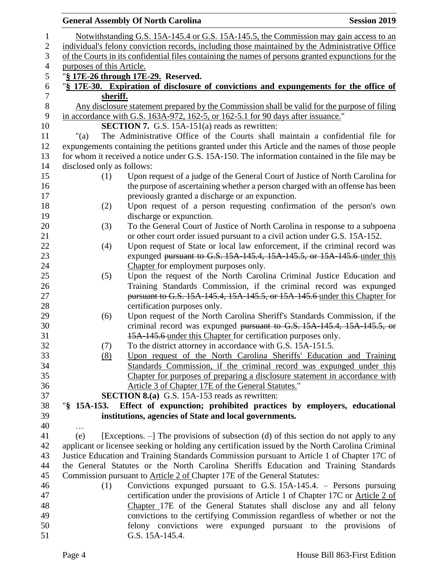|                          |                            | <b>General Assembly Of North Carolina</b>                                                                                                   | <b>Session 2019</b> |
|--------------------------|----------------------------|---------------------------------------------------------------------------------------------------------------------------------------------|---------------------|
| $\mathbf{1}$             |                            | Notwithstanding G.S. 15A-145.4 or G.S. 15A-145.5, the Commission may gain access to an                                                      |                     |
| $\mathbf{2}$             |                            | individual's felony conviction records, including those maintained by the Administrative Office                                             |                     |
| $\mathfrak{Z}$           |                            | of the Courts in its confidential files containing the names of persons granted expunctions for the                                         |                     |
| $\overline{\mathcal{A}}$ | purposes of this Article.  |                                                                                                                                             |                     |
| $\mathfrak s$            |                            | "§ 17E-26 through 17E-29. Reserved.                                                                                                         |                     |
| $\boldsymbol{6}$         |                            | "§ 17E-30. Expiration of disclosure of convictions and expungements for the office of                                                       |                     |
| $\boldsymbol{7}$         | sheriff.                   |                                                                                                                                             |                     |
| $\,8\,$                  |                            | Any disclosure statement prepared by the Commission shall be valid for the purpose of filing                                                |                     |
| 9                        |                            | in accordance with G.S. 163A-972, 162-5, or 162-5.1 for 90 days after issuance."                                                            |                     |
| 10                       |                            | <b>SECTION 7.</b> G.S. 15A-151(a) reads as rewritten:                                                                                       |                     |
| 11                       | " $(a)$                    | The Administrative Office of the Courts shall maintain a confidential file for                                                              |                     |
| 12                       |                            | expungements containing the petitions granted under this Article and the names of those people                                              |                     |
| 13                       |                            | for whom it received a notice under G.S. 15A-150. The information contained in the file may be                                              |                     |
| 14                       | disclosed only as follows: |                                                                                                                                             |                     |
| 15<br>16                 | (1)                        | Upon request of a judge of the General Court of Justice of North Carolina for                                                               |                     |
| 17                       |                            | the purpose of ascertaining whether a person charged with an offense has been<br>previously granted a discharge or an expunction.           |                     |
| 18                       | (2)                        | Upon request of a person requesting confirmation of the person's own                                                                        |                     |
| 19                       |                            | discharge or expunction.                                                                                                                    |                     |
| 20                       | (3)                        | To the General Court of Justice of North Carolina in response to a subpoena                                                                 |                     |
| 21                       |                            | or other court order issued pursuant to a civil action under G.S. 15A-152.                                                                  |                     |
| 22                       | (4)                        | Upon request of State or local law enforcement, if the criminal record was                                                                  |                     |
| 23                       |                            | expunged pursuant to G.S. 15A-145.4, 15A-145.5, or 15A-145.6 under this                                                                     |                     |
| 24                       |                            | Chapter for employment purposes only.                                                                                                       |                     |
| 25                       | (5)                        | Upon the request of the North Carolina Criminal Justice Education and                                                                       |                     |
| 26                       |                            | Training Standards Commission, if the criminal record was expunged                                                                          |                     |
| 27                       |                            | pursuant to G.S. 15A-145.4, 15A-145.5, or 15A-145.6 under this Chapter for                                                                  |                     |
| 28                       |                            | certification purposes only.                                                                                                                |                     |
| 29                       | (6)                        | Upon request of the North Carolina Sheriff's Standards Commission, if the                                                                   |                     |
| 30                       |                            | criminal record was expunged pursuant to G.S. 15A-145.4, 15A-145.5, or                                                                      |                     |
| 31                       |                            | 15A-145.6 under this Chapter for certification purposes only.                                                                               |                     |
| 32                       | (7)                        | To the district attorney in accordance with G.S. 15A-151.5.                                                                                 |                     |
| 33<br>34                 | (8)                        | Upon request of the North Carolina Sheriffs' Education and Training<br>Standards Commission, if the criminal record was expunged under this |                     |
| 35                       |                            | Chapter for purposes of preparing a disclosure statement in accordance with                                                                 |                     |
| 36                       |                            | Article 3 of Chapter 17E of the General Statutes."                                                                                          |                     |
| 37                       |                            | <b>SECTION 8.(a)</b> G.S. 15A-153 reads as rewritten:                                                                                       |                     |
| 38                       | $\frac{15}{2}$ 15A-153.    | Effect of expunction; prohibited practices by employers, educational                                                                        |                     |
| 39                       |                            | institutions, agencies of State and local governments.                                                                                      |                     |
| 40                       |                            |                                                                                                                                             |                     |
| 41                       | (e)                        | [Exceptions. –] The provisions of subsection (d) of this section do not apply to any                                                        |                     |
| 42                       |                            | applicant or licensee seeking or holding any certification issued by the North Carolina Criminal                                            |                     |
| 43                       |                            | Justice Education and Training Standards Commission pursuant to Article 1 of Chapter 17C of                                                 |                     |
| 44                       |                            | the General Statutes or the North Carolina Sheriffs Education and Training Standards                                                        |                     |
| 45                       |                            | Commission pursuant to Article 2 of Chapter 17E of the General Statutes:                                                                    |                     |
| 46                       | (1)                        | Convictions expunged pursuant to G.S. $15A-145.4$ . – Persons pursuing                                                                      |                     |
| 47                       |                            | certification under the provisions of Article 1 of Chapter 17C or Article 2 of                                                              |                     |
| 48                       |                            | Chapter 17E of the General Statutes shall disclose any and all felony                                                                       |                     |
| 49                       |                            | convictions to the certifying Commission regardless of whether or not the                                                                   |                     |
| 50<br>51                 |                            | felony convictions were expunged pursuant to the provisions of<br>G.S. 15A-145.4.                                                           |                     |
|                          |                            |                                                                                                                                             |                     |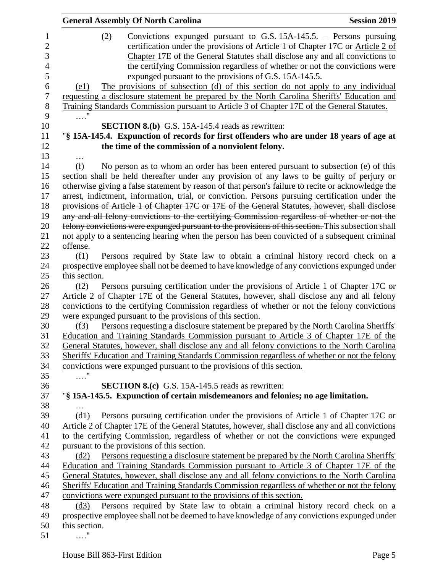| <b>General Assembly Of North Carolina</b>                                                                                                                                                                                                        | <b>Session 2019</b> |
|--------------------------------------------------------------------------------------------------------------------------------------------------------------------------------------------------------------------------------------------------|---------------------|
| Convictions expunged pursuant to G.S. $15A-145.5$ . – Persons pursuing<br>(2)<br>certification under the provisions of Article 1 of Chapter 17C or Article 2 of<br>Chapter 17E of the General Statutes shall disclose any and all convictions to |                     |
| the certifying Commission regardless of whether or not the convictions were                                                                                                                                                                      |                     |
| expunged pursuant to the provisions of G.S. 15A-145.5.                                                                                                                                                                                           |                     |
| The provisions of subsection (d) of this section do not apply to any individual<br>(e1)                                                                                                                                                          |                     |
| requesting a disclosure statement be prepared by the North Carolina Sheriffs' Education and                                                                                                                                                      |                     |
| Training Standards Commission pursuant to Article 3 of Chapter 17E of the General Statutes.                                                                                                                                                      |                     |
| . "                                                                                                                                                                                                                                              |                     |
| <b>SECTION 8.(b)</b> G.S. 15A-145.4 reads as rewritten:                                                                                                                                                                                          |                     |
| "§ 15A-145.4. Expunction of records for first offenders who are under 18 years of age at                                                                                                                                                         |                     |
| the time of the commission of a nonviolent felony.                                                                                                                                                                                               |                     |
|                                                                                                                                                                                                                                                  |                     |
| (f)<br>No person as to whom an order has been entered pursuant to subsection (e) of this                                                                                                                                                         |                     |
| section shall be held thereafter under any provision of any laws to be guilty of perjury or                                                                                                                                                      |                     |
| otherwise giving a false statement by reason of that person's failure to recite or acknowledge the                                                                                                                                               |                     |
| arrest, indictment, information, trial, or conviction. Persons pursuing certification under the                                                                                                                                                  |                     |
| provisions of Article 1 of Chapter 17C or 17E of the General Statutes, however, shall disclose                                                                                                                                                   |                     |
| any and all felony convictions to the certifying Commission regardless of whether or not the<br>felony convictions were expunged pursuant to the provisions of this section. This subsection shall                                               |                     |
| not apply to a sentencing hearing when the person has been convicted of a subsequent criminal                                                                                                                                                    |                     |
| offense.                                                                                                                                                                                                                                         |                     |
| Persons required by State law to obtain a criminal history record check on a<br>(f1)                                                                                                                                                             |                     |
| prospective employee shall not be deemed to have knowledge of any convictions expunged under                                                                                                                                                     |                     |
| this section.                                                                                                                                                                                                                                    |                     |
| Persons pursuing certification under the provisions of Article 1 of Chapter 17C or<br>(f2)                                                                                                                                                       |                     |
| Article 2 of Chapter 17E of the General Statutes, however, shall disclose any and all felony                                                                                                                                                     |                     |
| convictions to the certifying Commission regardless of whether or not the felony convictions                                                                                                                                                     |                     |
| were expunged pursuant to the provisions of this section.                                                                                                                                                                                        |                     |
| Persons requesting a disclosure statement be prepared by the North Carolina Sheriffs'<br>(f3)                                                                                                                                                    |                     |
| Education and Training Standards Commission pursuant to Article 3 of Chapter 17E of the                                                                                                                                                          |                     |
| General Statutes, however, shall disclose any and all felony convictions to the North Carolina                                                                                                                                                   |                     |
| Sheriffs' Education and Training Standards Commission regardless of whether or not the felony                                                                                                                                                    |                     |
| convictions were expunged pursuant to the provisions of this section.                                                                                                                                                                            |                     |
| $\ldots$ "                                                                                                                                                                                                                                       |                     |
| <b>SECTION 8.(c)</b> G.S. 15A-145.5 reads as rewritten:                                                                                                                                                                                          |                     |
| "§ 15A-145.5. Expunction of certain misdemeanors and felonies; no age limitation.                                                                                                                                                                |                     |
|                                                                                                                                                                                                                                                  |                     |
| Persons pursuing certification under the provisions of Article 1 of Chapter 17C or<br>(d1)                                                                                                                                                       |                     |
| Article 2 of Chapter 17E of the General Statutes, however, shall disclose any and all convictions                                                                                                                                                |                     |
| to the certifying Commission, regardless of whether or not the convictions were expunged                                                                                                                                                         |                     |
| pursuant to the provisions of this section.                                                                                                                                                                                                      |                     |
| Persons requesting a disclosure statement be prepared by the North Carolina Sheriffs'<br>(d2)                                                                                                                                                    |                     |
| Education and Training Standards Commission pursuant to Article 3 of Chapter 17E of the                                                                                                                                                          |                     |
| General Statutes, however, shall disclose any and all felony convictions to the North Carolina                                                                                                                                                   |                     |
| Sheriffs' Education and Training Standards Commission regardless of whether or not the felony                                                                                                                                                    |                     |
| convictions were expunged pursuant to the provisions of this section.                                                                                                                                                                            |                     |
| Persons required by State law to obtain a criminal history record check on a<br>(d3)                                                                                                                                                             |                     |
| prospective employee shall not be deemed to have knowledge of any convictions expunged under                                                                                                                                                     |                     |
| this section.                                                                                                                                                                                                                                    |                     |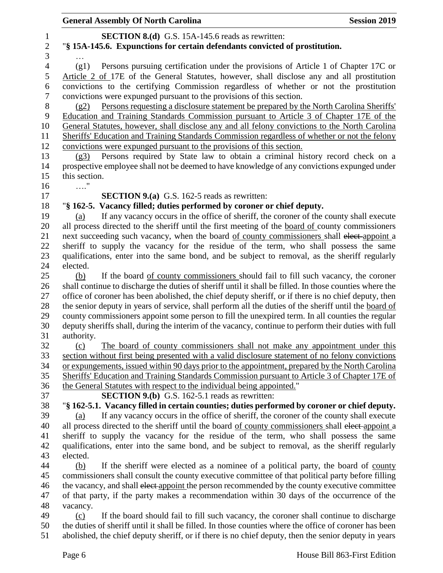| $\mathbf{1}$<br>$\mathbf{2}$ | <b>SECTION 8.(d)</b> G.S. 15A-145.6 reads as rewritten:                                                                                                                                                 |
|------------------------------|---------------------------------------------------------------------------------------------------------------------------------------------------------------------------------------------------------|
| 3                            | "§ 15A-145.6. Expunctions for certain defendants convicted of prostitution.                                                                                                                             |
| $\overline{4}$               | Persons pursuing certification under the provisions of Article 1 of Chapter 17C or<br>(g1)                                                                                                              |
| 5<br>6                       | Article 2 of 17E of the General Statutes, however, shall disclose any and all prostitution<br>convictions to the certifying Commission regardless of whether or not the prostitution                    |
| $\tau$                       |                                                                                                                                                                                                         |
| $8\,$                        | convictions were expunged pursuant to the provisions of this section.<br>(g2)                                                                                                                           |
| 9                            | Persons requesting a disclosure statement be prepared by the North Carolina Sheriffs'<br>Education and Training Standards Commission pursuant to Article 3 of Chapter 17E of the                        |
| 10                           |                                                                                                                                                                                                         |
| 11                           | General Statutes, however, shall disclose any and all felony convictions to the North Carolina                                                                                                          |
| 12                           | Sheriffs' Education and Training Standards Commission regardless of whether or not the felony                                                                                                           |
| 13                           | convictions were expunged pursuant to the provisions of this section.<br>Persons required by State law to obtain a criminal history record check on a<br>(g3)                                           |
| 14                           | prospective employee shall not be deemed to have knowledge of any convictions expunged under                                                                                                            |
| 15                           | this section.                                                                                                                                                                                           |
| 16                           | . "                                                                                                                                                                                                     |
| 17                           | <b>SECTION 9.(a)</b> G.S. 162-5 reads as rewritten:                                                                                                                                                     |
| 18                           | "§ 162-5. Vacancy filled; duties performed by coroner or chief deputy.                                                                                                                                  |
| 19                           | If any vacancy occurs in the office of sheriff, the coroner of the county shall execute<br>(a)                                                                                                          |
| 20                           | all process directed to the sheriff until the first meeting of the board of county commissioners                                                                                                        |
| 21                           | next succeeding such vacancy, when the board of county commissioners shall elect-appoint a                                                                                                              |
| 22                           | sheriff to supply the vacancy for the residue of the term, who shall possess the same                                                                                                                   |
| 23                           | qualifications, enter into the same bond, and be subject to removal, as the sheriff regularly                                                                                                           |
| 24                           | elected.                                                                                                                                                                                                |
| 25                           | If the board of county commissioners should fail to fill such vacancy, the coroner<br>(b)                                                                                                               |
| 26                           | shall continue to discharge the duties of sheriff until it shall be filled. In those counties where the                                                                                                 |
| 27                           | office of coroner has been abolished, the chief deputy sheriff, or if there is no chief deputy, then                                                                                                    |
| 28                           | the senior deputy in years of service, shall perform all the duties of the sheriff until the board of                                                                                                   |
| 29                           | county commissioners appoint some person to fill the unexpired term. In all counties the regular                                                                                                        |
| 30                           | deputy sheriffs shall, during the interim of the vacancy, continue to perform their duties with full                                                                                                    |
| 31                           | authority.                                                                                                                                                                                              |
| 32                           | The board of county commissioners shall not make any appointment under this<br>(c)                                                                                                                      |
| 33                           | section without first being presented with a valid disclosure statement of no felony convictions                                                                                                        |
| 34                           | or expungements, issued within 90 days prior to the appointment, prepared by the North Carolina                                                                                                         |
| 35                           | Sheriffs' Education and Training Standards Commission pursuant to Article 3 of Chapter 17E of                                                                                                           |
| 36                           | the General Statutes with respect to the individual being appointed."                                                                                                                                   |
| 37                           | <b>SECTION 9.(b)</b> G.S. 162-5.1 reads as rewritten:                                                                                                                                                   |
| 38                           | "\\$ 162-5.1. Vacancy filled in certain counties; duties performed by coroner or chief deputy.                                                                                                          |
| 39                           | If any vacancy occurs in the office of sheriff, the coroner of the county shall execute<br>(a)                                                                                                          |
| 40                           | all process directed to the sheriff until the board of county commissioners shall elect-appoint a                                                                                                       |
| 41                           | sheriff to supply the vacancy for the residue of the term, who shall possess the same                                                                                                                   |
| 42                           | qualifications, enter into the same bond, and be subject to removal, as the sheriff regularly                                                                                                           |
| 43                           | elected.                                                                                                                                                                                                |
| 44                           | If the sheriff were elected as a nominee of a political party, the board of county<br>(b)                                                                                                               |
| 45                           | commissioners shall consult the county executive committee of that political party before filling                                                                                                       |
| 46                           | the vacancy, and shall elect-appoint the person recommended by the county executive committee                                                                                                           |
| 47                           | of that party, if the party makes a recommendation within 30 days of the occurrence of the                                                                                                              |
| 48                           | vacancy.                                                                                                                                                                                                |
| 49<br>50                     | If the board should fail to fill such vacancy, the coroner shall continue to discharge<br>(c)<br>the duties of sheriff until it shall be filled. In those counties where the office of coroner has been |
| 51                           | abolished, the chief deputy sheriff, or if there is no chief deputy, then the senior deputy in years                                                                                                    |
|                              |                                                                                                                                                                                                         |